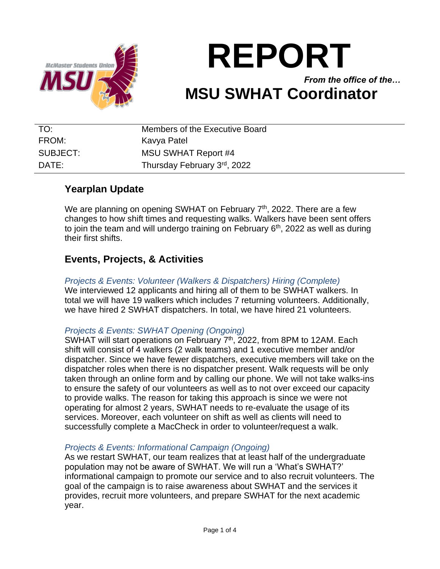

# **REPORT** *From the office of the…* **MSU SWHAT Coordinator**

| TO:      | Members of the Executive Board |
|----------|--------------------------------|
| FROM:    | Kavya Patel                    |
| SUBJECT: | <b>MSU SWHAT Report #4</b>     |
| DATF:    | Thursday February 3rd, 2022    |

# **Yearplan Update**

We are planning on opening SWHAT on February 7<sup>th</sup>, 2022. There are a few changes to how shift times and requesting walks. Walkers have been sent offers to join the team and will undergo training on February 6<sup>th</sup>, 2022 as well as during their first shifts.

# **Events, Projects, & Activities**

*Projects & Events: Volunteer (Walkers & Dispatchers) Hiring (Complete)* We interviewed 12 applicants and hiring all of them to be SWHAT walkers. In total we will have 19 walkers which includes 7 returning volunteers. Additionally, we have hired 2 SWHAT dispatchers. In total, we have hired 21 volunteers.

#### *Projects & Events: SWHAT Opening (Ongoing)*

SWHAT will start operations on February 7<sup>th</sup>, 2022, from 8PM to 12AM. Each shift will consist of 4 walkers (2 walk teams) and 1 executive member and/or dispatcher. Since we have fewer dispatchers, executive members will take on the dispatcher roles when there is no dispatcher present. Walk requests will be only taken through an online form and by calling our phone. We will not take walks-ins to ensure the safety of our volunteers as well as to not over exceed our capacity to provide walks. The reason for taking this approach is since we were not operating for almost 2 years, SWHAT needs to re-evaluate the usage of its services. Moreover, each volunteer on shift as well as clients will need to successfully complete a MacCheck in order to volunteer/request a walk.

#### *Projects & Events: Informational Campaign (Ongoing)*

As we restart SWHAT, our team realizes that at least half of the undergraduate population may not be aware of SWHAT. We will run a 'What's SWHAT?' informational campaign to promote our service and to also recruit volunteers. The goal of the campaign is to raise awareness about SWHAT and the services it provides, recruit more volunteers, and prepare SWHAT for the next academic year.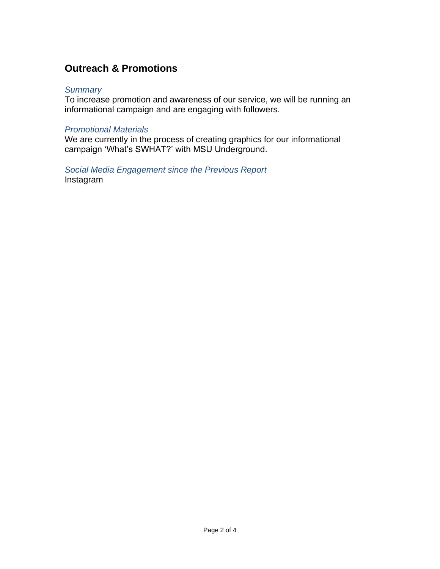# **Outreach & Promotions**

#### *Summary*

To increase promotion and awareness of our service, we will be running an informational campaign and are engaging with followers.

#### *Promotional Materials*

We are currently in the process of creating graphics for our informational campaign 'What's SWHAT?' with MSU Underground.

#### *Social Media Engagement since the Previous Report* Instagram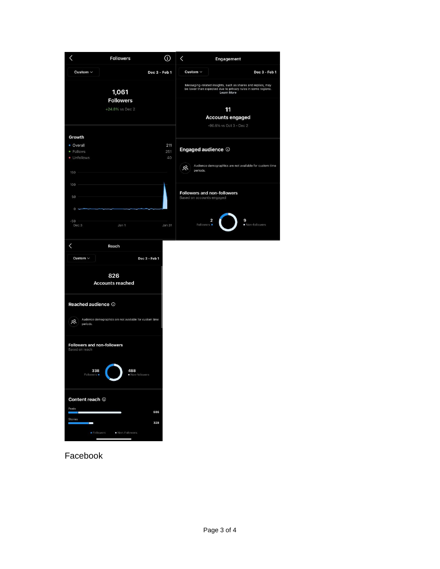|                                                   | <b>Followers</b>                                        | ⊕                | $\checkmark$<br>Engagement                                                                                                                       |
|---------------------------------------------------|---------------------------------------------------------|------------------|--------------------------------------------------------------------------------------------------------------------------------------------------|
| Custom $\sim$                                     |                                                         | Dec 3 - Feb 1    | Custom $\sim$<br>Dec 3 - Feb 1                                                                                                                   |
| 1,061<br><b>Followers</b><br>+24.8% vs Dec 2      |                                                         |                  | Messaging-related insights, such as shares and replies, may<br>be lower than expected due to privacy rules in some regions.<br><b>Learn More</b> |
|                                                   |                                                         |                  | 11<br><b>Accounts engaged</b><br>-90.6% vs Oct 3 - Dec 2                                                                                         |
| Growth                                            |                                                         |                  |                                                                                                                                                  |
| • Overall<br>· Follows<br>• Unfollows             |                                                         | 211<br>251<br>40 | Engaged audience <sup>1</sup>                                                                                                                    |
| 150                                               |                                                         |                  | Audience demographics are not available for custom time<br><u>Զ</u><br>periods.                                                                  |
| 100<br>50                                         |                                                         |                  | <b>Followers and non-followers</b><br>Based on accounts engaged                                                                                  |
| $\circ$<br>$-50$<br>Dec 3                         | Jan 1                                                   | Jan 31           | 9<br>2<br>· Non-followers<br>Followers ·                                                                                                         |
| く                                                 | Reach                                                   |                  |                                                                                                                                                  |
| Custom $\sim$                                     |                                                         | Dec 3 - Feb 1    |                                                                                                                                                  |
|                                                   | 826<br><b>Accounts reached</b>                          |                  |                                                                                                                                                  |
| Reached audience <sup>1</sup><br>ల్లి<br>periods. | Audience demographics are not available for custom time |                  |                                                                                                                                                  |
| Followers and non-followers<br>Based on reach     |                                                         |                  |                                                                                                                                                  |
| 338<br>Followers $\bullet$                        | 488<br>· Non-followers                                  |                  |                                                                                                                                                  |
| Content reach ①                                   |                                                         |                  |                                                                                                                                                  |
| Posts                                             |                                                         | 686              |                                                                                                                                                  |
| Stories<br>−                                      |                                                         | 328              |                                                                                                                                                  |
| г                                                 | · Followers<br>· Non-Followers                          |                  |                                                                                                                                                  |

Facebook